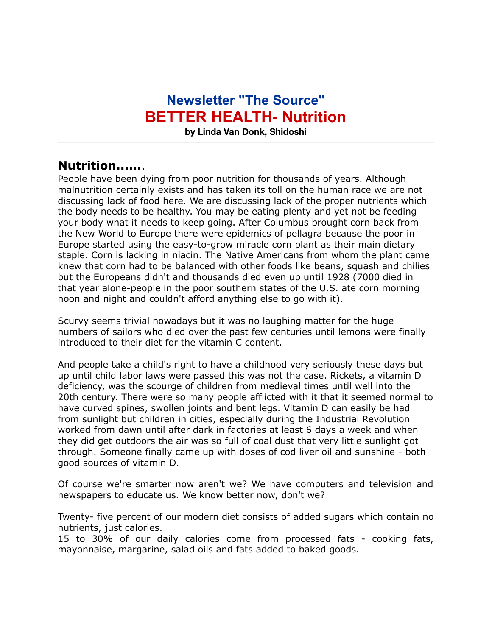## **Newsletter "The Source" BETTER HEALTH- Nutrition**

**by Linda Van Donk, Shidoshi**

## **Nutrition......**.

People have been dying from poor nutrition for thousands of years. Although malnutrition certainly exists and has taken its toll on the human race we are not discussing lack of food here. We are discussing lack of the proper nutrients which the body needs to be healthy. You may be eating plenty and yet not be feeding your body what it needs to keep going. After Columbus brought corn back from the New World to Europe there were epidemics of pellagra because the poor in Europe started using the easy-to-grow miracle corn plant as their main dietary staple. Corn is lacking in niacin. The Native Americans from whom the plant came knew that corn had to be balanced with other foods like beans, squash and chilies but the Europeans didn't and thousands died even up until 1928 (7000 died in that year alone-people in the poor southern states of the U.S. ate corn morning noon and night and couldn't afford anything else to go with it).

Scurvy seems trivial nowadays but it was no laughing matter for the huge numbers of sailors who died over the past few centuries until lemons were finally introduced to their diet for the vitamin C content.

And people take a child's right to have a childhood very seriously these days but up until child labor laws were passed this was not the case. Rickets, a vitamin D deficiency, was the scourge of children from medieval times until well into the 20th century. There were so many people afflicted with it that it seemed normal to have curved spines, swollen joints and bent legs. Vitamin D can easily be had from sunlight but children in cities, especially during the Industrial Revolution worked from dawn until after dark in factories at least 6 days a week and when they did get outdoors the air was so full of coal dust that very little sunlight got through. Someone finally came up with doses of cod liver oil and sunshine - both good sources of vitamin D.

Of course we're smarter now aren't we? We have computers and television and newspapers to educate us. We know better now, don't we?

Twenty- five percent of our modern diet consists of added sugars which contain no nutrients, just calories.

15 to 30% of our daily calories come from processed fats - cooking fats, mayonnaise, margarine, salad oils and fats added to baked goods.